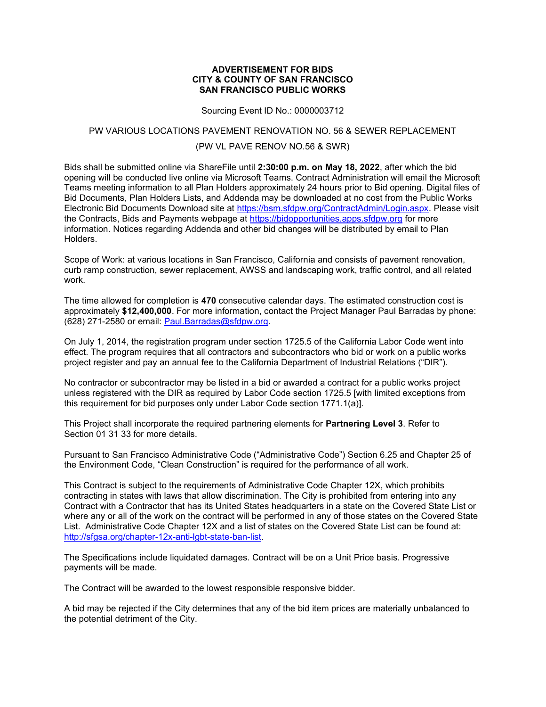#### ADVERTISEMENT FOR BIDS CITY & COUNTY OF SAN FRANCISCO SAN FRANCISCO PUBLIC WORKS

Sourcing Event ID No.: 0000003712

#### PW VARIOUS LOCATIONS PAVEMENT RENOVATION NO. 56 & SEWER REPLACEMENT

## (PW VL PAVE RENOV NO.56 & SWR)

Bids shall be submitted online via ShareFile until 2:30:00 p.m. on May 18, 2022, after which the bid opening will be conducted live online via Microsoft Teams. Contract Administration will email the Microsoft Teams meeting information to all Plan Holders approximately 24 hours prior to Bid opening. Digital files of Bid Documents, Plan Holders Lists, and Addenda may be downloaded at no cost from the Public Works Electronic Bid Documents Download site at https://bsm.sfdpw.org/ContractAdmin/Login.aspx. Please visit the Contracts, Bids and Payments webpage at https://bidopportunities.apps.sfdpw.org for more information. Notices regarding Addenda and other bid changes will be distributed by email to Plan Holders.

Scope of Work: at various locations in San Francisco, California and consists of pavement renovation, curb ramp construction, sewer replacement, AWSS and landscaping work, traffic control, and all related work.

The time allowed for completion is 470 consecutive calendar days. The estimated construction cost is approximately \$12,400,000. For more information, contact the Project Manager Paul Barradas by phone: (628) 271-2580 or email: Paul.Barradas@sfdpw.org.

On July 1, 2014, the registration program under section 1725.5 of the California Labor Code went into effect. The program requires that all contractors and subcontractors who bid or work on a public works project register and pay an annual fee to the California Department of Industrial Relations ("DIR").

No contractor or subcontractor may be listed in a bid or awarded a contract for a public works project unless registered with the DIR as required by Labor Code section 1725.5 [with limited exceptions from this requirement for bid purposes only under Labor Code section 1771.1(a)].

This Project shall incorporate the required partnering elements for **Partnering Level 3**. Refer to Section 01 31 33 for more details.

Pursuant to San Francisco Administrative Code ("Administrative Code") Section 6.25 and Chapter 25 of the Environment Code, "Clean Construction" is required for the performance of all work.

This Contract is subject to the requirements of Administrative Code Chapter 12X, which prohibits contracting in states with laws that allow discrimination. The City is prohibited from entering into any Contract with a Contractor that has its United States headquarters in a state on the Covered State List or where any or all of the work on the contract will be performed in any of those states on the Covered State List. Administrative Code Chapter 12X and a list of states on the Covered State List can be found at: http://sfgsa.org/chapter-12x-anti-lgbt-state-ban-list.

The Specifications include liquidated damages. Contract will be on a Unit Price basis. Progressive payments will be made.

The Contract will be awarded to the lowest responsible responsive bidder.

A bid may be rejected if the City determines that any of the bid item prices are materially unbalanced to the potential detriment of the City.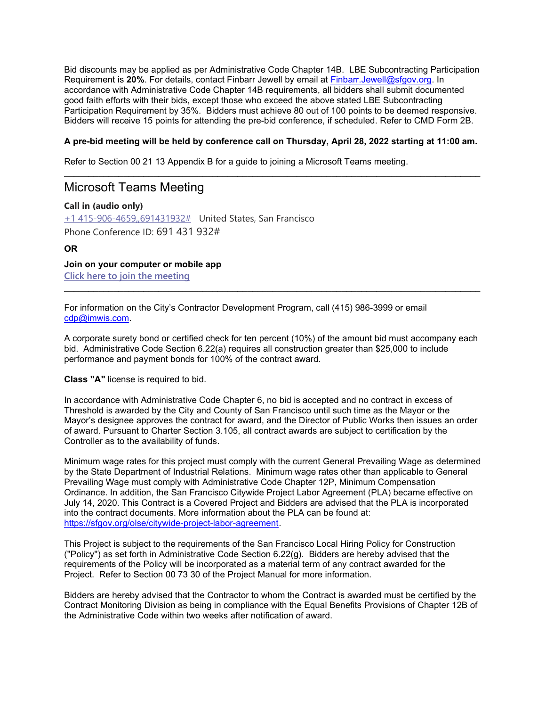Bid discounts may be applied as per Administrative Code Chapter 14B. LBE Subcontracting Participation Requirement is 20%. For details, contact Finbarr Jewell by email at Finbarr.Jewell@sfgov.org. In accordance with Administrative Code Chapter 14B requirements, all bidders shall submit documented good faith efforts with their bids, except those who exceed the above stated LBE Subcontracting Participation Requirement by 35%. Bidders must achieve 80 out of 100 points to be deemed responsive. Bidders will receive 15 points for attending the pre-bid conference, if scheduled. Refer to CMD Form 2B.

## A pre-bid meeting will be held by conference call on Thursday, April 28, 2022 starting at 11:00 am.

Refer to Section 00 21 13 Appendix B for a guide to joining a Microsoft Teams meeting.

# Microsoft Teams Meeting

Call in (audio only) +1 415-906-4659,,691431932# United States, San Francisco Phone Conference ID: 691 431 932#

## OR

Join on your computer or mobile app Click here to join the meeting

For information on the City's Contractor Development Program, call (415) 986-3999 or email cdp@imwis.com.

A corporate surety bond or certified check for ten percent (10%) of the amount bid must accompany each bid. Administrative Code Section 6.22(a) requires all construction greater than \$25,000 to include performance and payment bonds for 100% of the contract award.

 $\mathcal{L}_\mathcal{L} = \{ \mathcal{L}_\mathcal{L} = \{ \mathcal{L}_\mathcal{L} = \{ \mathcal{L}_\mathcal{L} = \{ \mathcal{L}_\mathcal{L} = \{ \mathcal{L}_\mathcal{L} = \{ \mathcal{L}_\mathcal{L} = \{ \mathcal{L}_\mathcal{L} = \{ \mathcal{L}_\mathcal{L} = \{ \mathcal{L}_\mathcal{L} = \{ \mathcal{L}_\mathcal{L} = \{ \mathcal{L}_\mathcal{L} = \{ \mathcal{L}_\mathcal{L} = \{ \mathcal{L}_\mathcal{L} = \{ \mathcal{L}_\mathcal{$ 

Class "A" license is required to bid.

In accordance with Administrative Code Chapter 6, no bid is accepted and no contract in excess of Threshold is awarded by the City and County of San Francisco until such time as the Mayor or the Mayor's designee approves the contract for award, and the Director of Public Works then issues an order of award. Pursuant to Charter Section 3.105, all contract awards are subject to certification by the Controller as to the availability of funds.

Minimum wage rates for this project must comply with the current General Prevailing Wage as determined by the State Department of Industrial Relations. Minimum wage rates other than applicable to General Prevailing Wage must comply with Administrative Code Chapter 12P, Minimum Compensation Ordinance. In addition, the San Francisco Citywide Project Labor Agreement (PLA) became effective on July 14, 2020. This Contract is a Covered Project and Bidders are advised that the PLA is incorporated into the contract documents. More information about the PLA can be found at: https://sfgov.org/olse/citywide-project-labor-agreement.

This Project is subject to the requirements of the San Francisco Local Hiring Policy for Construction (''Policy'') as set forth in Administrative Code Section 6.22(g). Bidders are hereby advised that the requirements of the Policy will be incorporated as a material term of any contract awarded for the Project. Refer to Section 00 73 30 of the Project Manual for more information.

Bidders are hereby advised that the Contractor to whom the Contract is awarded must be certified by the Contract Monitoring Division as being in compliance with the Equal Benefits Provisions of Chapter 12B of the Administrative Code within two weeks after notification of award.